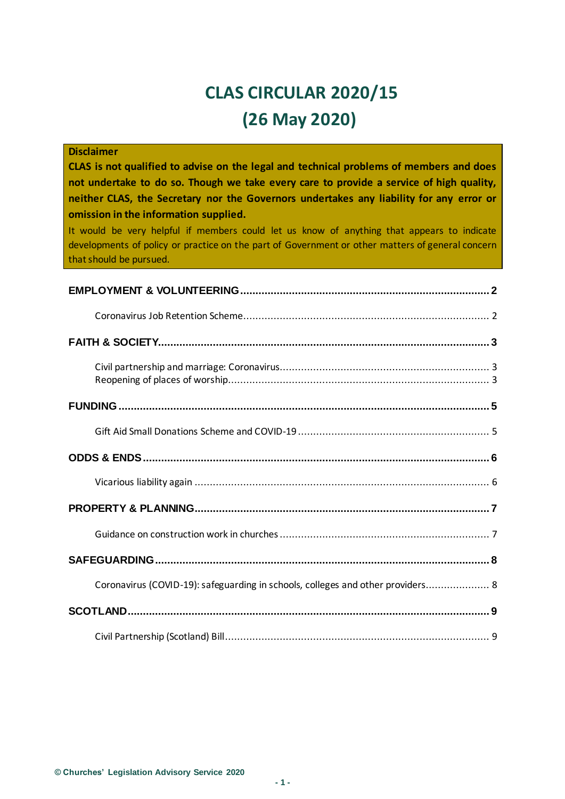# **CLAS CIRCULAR 2020/15 (26 May 2020)**

| <b>Disclaimer</b><br>CLAS is not qualified to advise on the legal and technical problems of members and does<br>not undertake to do so. Though we take every care to provide a service of high quality,<br>neither CLAS, the Secretary nor the Governors undertakes any liability for any error or<br>omission in the information supplied.<br>It would be very helpful if members could let us know of anything that appears to indicate<br>developments of policy or practice on the part of Government or other matters of general concern<br>that should be pursued. |
|--------------------------------------------------------------------------------------------------------------------------------------------------------------------------------------------------------------------------------------------------------------------------------------------------------------------------------------------------------------------------------------------------------------------------------------------------------------------------------------------------------------------------------------------------------------------------|
|                                                                                                                                                                                                                                                                                                                                                                                                                                                                                                                                                                          |
|                                                                                                                                                                                                                                                                                                                                                                                                                                                                                                                                                                          |
|                                                                                                                                                                                                                                                                                                                                                                                                                                                                                                                                                                          |
|                                                                                                                                                                                                                                                                                                                                                                                                                                                                                                                                                                          |
|                                                                                                                                                                                                                                                                                                                                                                                                                                                                                                                                                                          |
|                                                                                                                                                                                                                                                                                                                                                                                                                                                                                                                                                                          |
|                                                                                                                                                                                                                                                                                                                                                                                                                                                                                                                                                                          |
|                                                                                                                                                                                                                                                                                                                                                                                                                                                                                                                                                                          |
|                                                                                                                                                                                                                                                                                                                                                                                                                                                                                                                                                                          |
|                                                                                                                                                                                                                                                                                                                                                                                                                                                                                                                                                                          |
|                                                                                                                                                                                                                                                                                                                                                                                                                                                                                                                                                                          |
| Coronavirus (COVID-19): safeguarding in schools, colleges and other providers 8                                                                                                                                                                                                                                                                                                                                                                                                                                                                                          |
|                                                                                                                                                                                                                                                                                                                                                                                                                                                                                                                                                                          |
|                                                                                                                                                                                                                                                                                                                                                                                                                                                                                                                                                                          |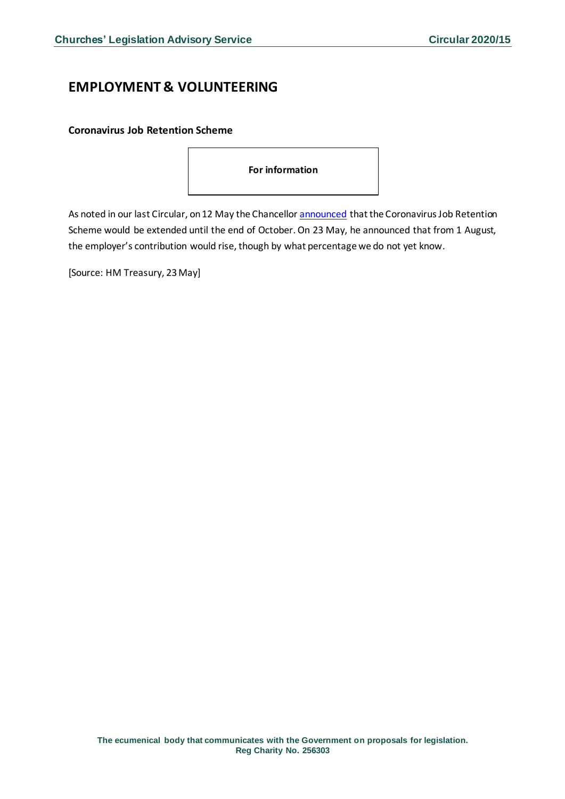# <span id="page-1-0"></span>**EMPLOYMENT & VOLUNTEERING**

<span id="page-1-1"></span>**Coronavirus Job Retention Scheme**

| For information |  |
|-----------------|--|
|-----------------|--|

As noted in our last Circular, on 12 May the Chancello[r announced](https://www.gov.uk/government/news/chancellor-extends-furlough-scheme-until-october?utm_source=469e4bd6-b6c1-4149-a76b-97f84a86bb07&utm_medium=email&utm_campaign=govuk-notifications&utm_content=daily) that the Coronavirus Job Retention Scheme would be extended until the end of October. On 23 May, he announced that from 1 August, the employer's contribution would rise, though by what percentage we do not yet know.

[Source: HM Treasury, 23 May]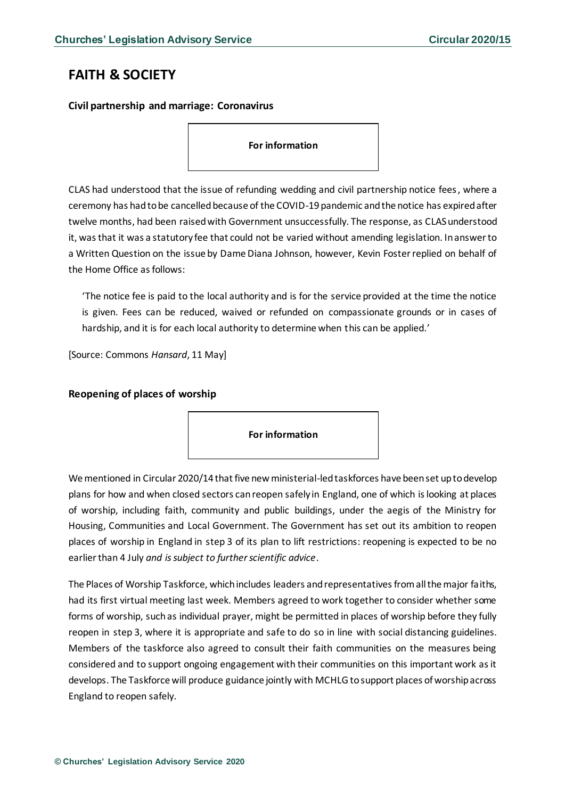# <span id="page-2-0"></span>**FAITH & SOCIETY**

<span id="page-2-1"></span>**Civil partnership and marriage: Coronavirus**

#### **For information**

CLAS had understood that the issue of refunding wedding and civil partnership notice fees, where a ceremony has had to be cancelled because of the COVID-19 pandemic and the notice has expired after twelve months, had been raised with Government unsuccessfully. The response, as CLASunderstood it, was that it was a statutory fee that could not be varied without amending legislation. In answer to a Written Question on the issue by Dame Diana Johnson, however, Kevin Foster replied on behalf of the Home Office as follows:

'The notice fee is paid to the local authority and is for the service provided at the time the notice is given. Fees can be reduced, waived or refunded on compassionate grounds or in cases of hardship, and it is for each local authority to determine when this can be applied.'

[Source: Commons *Hansard*, 11 May]

### <span id="page-2-2"></span>**Reopening of places of worship**

**For information**

We mentioned in Circular 2020/14 that five new ministerial-led taskforces have been set up to develop plans for how and when closed sectors can reopen safely in England, one of which is looking at places of worship, including faith, community and public buildings, under the aegis of the Ministry for Housing, Communities and Local Government. The Government has set out its ambition to reopen places of worship in England in step 3 of its plan to lift restrictions: reopening is expected to be no earlier than 4 July *and is subject to further scientific advice*.

The Places of Worship Taskforce, which includes leaders and representatives from all the major faiths, had its first virtual meeting last week. Members agreed to work together to consider whether some forms of worship, such as individual prayer, might be permitted in places of worship before they fully reopen in step 3, where it is appropriate and safe to do so in line with social distancing guidelines. Members of the taskforce also agreed to consult their faith communities on the measures being considered and to support ongoing engagement with their communities on this important work as it develops. The Taskforce will produce guidance jointly with MCHLG to support places of worship across England to reopen safely.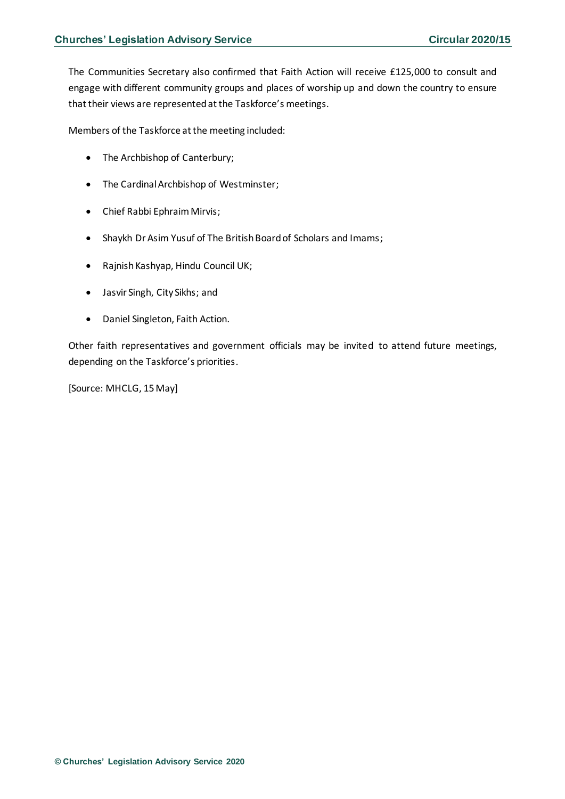The Communities Secretary also confirmed that Faith Action will receive £125,000 to consult and engage with different community groups and places of worship up and down the country to ensure that their views are represented at the Taskforce's meetings.

Members of the Taskforce at the meeting included:

- The Archbishop of Canterbury;
- The Cardinal Archbishop of Westminster;
- Chief Rabbi Ephraim Mirvis;
- Shaykh Dr Asim Yusuf of The British Board of Scholars and Imams;
- Rajnish Kashyap, Hindu Council UK;
- Jasvir Singh, City Sikhs; and
- Daniel Singleton, Faith Action.

Other faith representatives and government officials may be invited to attend future meetings, depending on the Taskforce's priorities.

[Source: MHCLG, 15 May]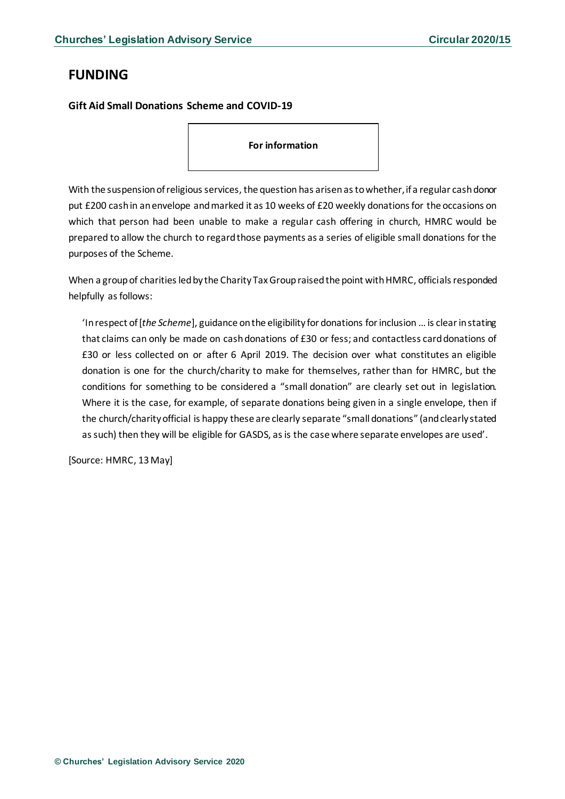# <span id="page-4-0"></span>**FUNDING**

## <span id="page-4-1"></span>**Gift Aid Small Donations Scheme and COVID-19**

**For information**

With the suspension of religious services, the question has arisenas to whether, if a regular cash donor put £200 cash in an envelope and marked it as 10 weeks of £20 weekly donations for the occasions on which that person had been unable to make a regular cash offering in church, HMRC would be prepared to allow the church to regard those payments as a series of eligible small donations for the purposes of the Scheme.

When a group of charities led by the Charity Tax Group raised the point with HMRC, officials responded helpfully as follows:

'In respect of [*the Scheme*], guidance on the eligibility for donations for inclusion … is clear in stating that claims can only be made on cash donations of £30 or fess; and contactless card donations of £30 or less collected on or after 6 April 2019. The decision over what constitutes an eligible donation is one for the church/charity to make for themselves, rather than for HMRC, but the conditions for something to be considered a "small donation" are clearly set out in legislation. Where it is the case, for example, of separate donations being given in a single envelope, then if the church/charity official is happy these are clearly separate "small donations" (and clearly stated as such) then they will be eligible for GASDS, as is the case where separate envelopes are used'.

[Source: HMRC, 13 May]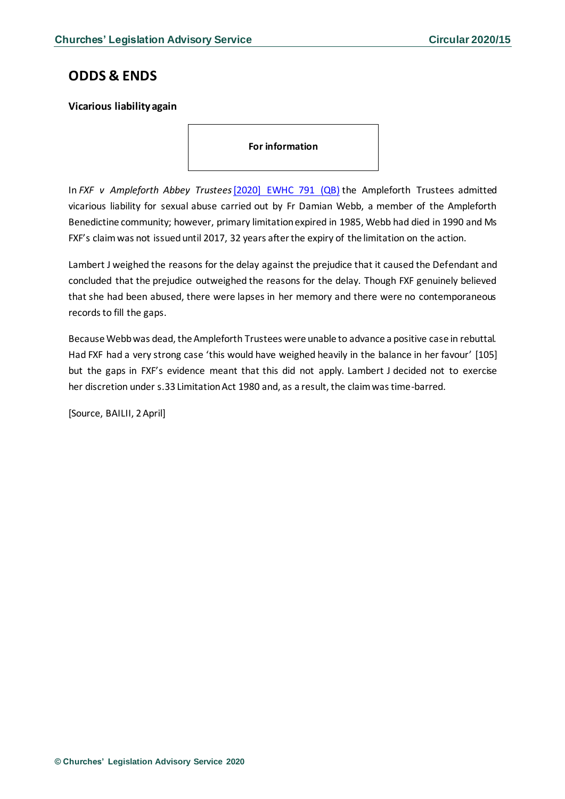## <span id="page-5-0"></span>**ODDS & ENDS**

## <span id="page-5-1"></span>**Vicarious liability again**

**For information**

In *FXF v Ampleforth Abbey Trustees*[\[2020\] EWHC 791 \(QB\)](https://www.bailii.org/ew/cases/EWHC/QB/2020/791.html) the Ampleforth Trustees admitted vicarious liability for sexual abuse carried out by Fr Damian Webb, a member of the Ampleforth Benedictine community; however, primary limitation expired in 1985, Webb had died in 1990 and Ms FXF's claim was not issued until 2017, 32 years after the expiry of the limitation on the action.

Lambert J weighed the reasons for the delay against the prejudice that it caused the Defendant and concluded that the prejudice outweighed the reasons for the delay. Though FXF genuinely believed that she had been abused, there were lapses in her memory and there were no contemporaneous records to fill the gaps.

Because Webb was dead, the Ampleforth Trustees were unable to advance a positive case in rebuttal. Had FXF had a very strong case 'this would have weighed heavily in the balance in her favour' [105] but the gaps in FXF's evidence meant that this did not apply. Lambert J decided not to exercise her discretion under s.33 Limitation Act 1980 and, as a result, the claim was time-barred.

[Source, BAILII, 2 April]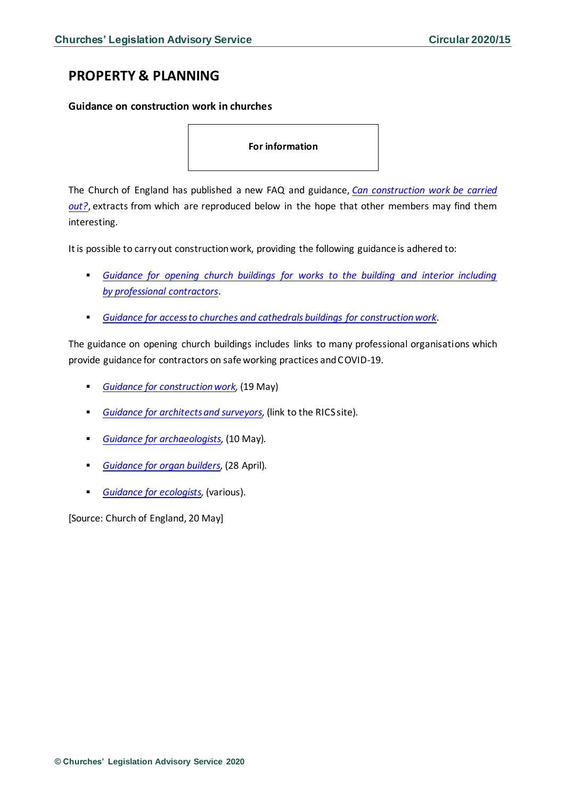# <span id="page-6-0"></span>**PROPERTY & PLANNING**

### <span id="page-6-1"></span>**Guidance on construction work in churches**

**For information**

The Church of England has published a new FAQ and guidance, *[Can construction work be carried](https://www.churchofengland.org/more/media-centre/coronavirus-covid-19-guidance-churches#na)  [out?](https://www.churchofengland.org/more/media-centre/coronavirus-covid-19-guidance-churches#na)*, extracts from which are reproduced below in the hope that other members may find them interesting*.*

It is possible to carry out construction work, providing the following guidance is adhered to:

- *[Guidance for opening church buildings for works to the building and interior including](https://www.churchofengland.org/media/20465)  by [professional contractors](https://www.churchofengland.org/media/20465)*.
- *[Guidance for access to churches and cathedrals](https://www.churchofengland.org/media/20464) buildings for construction work*.

The guidance on opening church buildings includes links to many professional organisations which provide guidance for contractors on safe working practices and COVID-19.

- **[Guidance for construction work,](https://www.gov.uk/guidance/working-safely-during-coronavirus-covid-19#construction and https://builduk.org/coronavirus/) (19 May)**
- *[Guidance for architects and surveyors,](https://cieem.net/i-am/covid-19/)* (link to the RICS site)*.*
- *[Guidance for archaeologists,](https://www.archaeologists.net/practices/coronavirus/siteworking)* (10 May)*.*
- *[Guidance for organ builders,](https://ibo.co.uk/downloads/covid-19_28apr20.pdf)* (28 April)*.*
- *[Guidance for ecologists,](https://cieem.net/i-am/covid-19/)* (various).

[Source: Church of England, 20 May]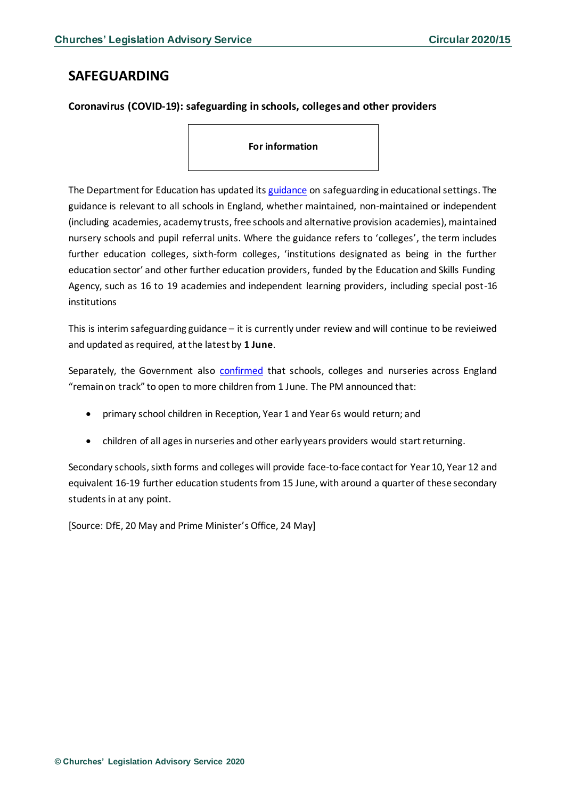## <span id="page-7-0"></span>**SAFEGUARDING**

<span id="page-7-1"></span>**Coronavirus (COVID-19): safeguarding in schools, colleges and other providers**

**For information**

The Department for Education has updated it[s guidance](https://www.gov.uk/government/publications/covid-19-safeguarding-in-schools-colleges-and-other-providers/coronavirus-covid-19-safeguarding-in-schools-colleges-and-other-providers) on safeguarding in educational settings. The guidance is relevant to all schools in England, whether maintained, non-maintained or independent (including academies, academy trusts, free schools and alternative provision academies), maintained nursery schools and pupil referral units. Where the guidance refers to 'colleges', the term includes further education colleges, sixth-form colleges, 'institutions designated as being in the further education sector' and other further education providers, funded by the Education and Skills Funding Agency, such as 16 to 19 academies and independent learning providers, including special post-16 institutions

This is interim safeguarding guidance – it is currently under review and will continue to be revieiwed and updated as required, at the latest by **1 June**.

Separately, the Government also [confirmed](https://www.gov.uk/government/news/pm-confirms-schools-colleges-and-nurseries-on-track-to-begin-phased-reopening?utm_source=bd825779-ed8a-4a73-b97f-2ea8706d36c4&utm_medium=email&utm_campaign=govuk-notifications&utm_content=daily) that schools, colleges and nurseries across England "remain on track" to open to more children from 1 June. The PM announced that:

- primary school children in Reception, Year 1 and Year 6s would return; and
- children of all ages in nurseries and other early years providers would start returning.

Secondary schools, sixth forms and colleges will provide face-to-face contact for Year 10, Year 12 and equivalent 16-19 further education students from 15 June, with around a quarter of these secondary students in at any point.

[Source: DfE, 20 May and Prime Minister's Office, 24 May]